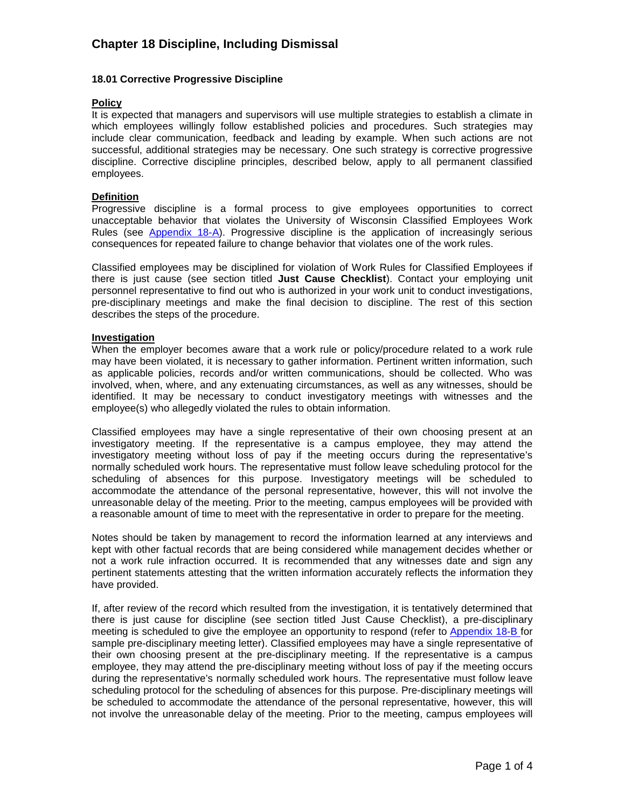## **18.01 Corrective Progressive Discipline**

### **Policy**

It is expected that managers and supervisors will use multiple strategies to establish a climate in which employees willingly follow established policies and procedures. Such strategies may include clear communication, feedback and leading by example. When such actions are not successful, additional strategies may be necessary. One such strategy is corrective progressive discipline. Corrective discipline principles, described below, apply to all permanent classified employees.

#### **Definition**

Progressive discipline is a formal process to give employees opportunities to correct unacceptable behavior that violates the University of Wisconsin Classified Employees Work Rules (see [Appendix 18-A\)](http://www.ohr.wisc.edu/polproced/CPPP/cppp_chapter18_app18a-eng.pdf). Progressive discipline is the application of increasingly serious consequences for repeated failure to change behavior that violates one of the work rules.

Classified employees may be disciplined for violation of Work Rules for Classified Employees if there is just cause (see section titled **Just Cause Checklist**). Contact your employing unit personnel representative to find out who is authorized in your work unit to conduct investigations, pre-disciplinary meetings and make the final decision to discipline. The rest of this section describes the steps of the procedure.

### **Investigation**

When the employer becomes aware that a work rule or policy/procedure related to a work rule may have been violated, it is necessary to gather information. Pertinent written information, such as applicable policies, records and/or written communications, should be collected. Who was involved, when, where, and any extenuating circumstances, as well as any witnesses, should be identified. It may be necessary to conduct investigatory meetings with witnesses and the employee(s) who allegedly violated the rules to obtain information.

Classified employees may have a single representative of their own choosing present at an investigatory meeting. If the representative is a campus employee, they may attend the investigatory meeting without loss of pay if the meeting occurs during the representative's normally scheduled work hours. The representative must follow leave scheduling protocol for the scheduling of absences for this purpose. Investigatory meetings will be scheduled to accommodate the attendance of the personal representative, however, this will not involve the unreasonable delay of the meeting. Prior to the meeting, campus employees will be provided with a reasonable amount of time to meet with the representative in order to prepare for the meeting.

Notes should be taken by management to record the information learned at any interviews and kept with other factual records that are being considered while management decides whether or not a work rule infraction occurred. It is recommended that any witnesses date and sign any pertinent statements attesting that the written information accurately reflects the information they have provided.

If, after review of the record which resulted from the investigation, it is tentatively determined that there is just cause for discipline (see section titled Just Cause Checklist), a pre-disciplinary meeting is scheduled to give the employee an opportunity to respond (refer to [Appendix 18-B](http://www.ohr.wisc.edu/polproced/CPPP/cppp_chapter18_appb_psedits.doc) for sample pre-disciplinary meeting letter). Classified employees may have a single representative of their own choosing present at the pre-disciplinary meeting. If the representative is a campus employee, they may attend the pre-disciplinary meeting without loss of pay if the meeting occurs during the representative's normally scheduled work hours. The representative must follow leave scheduling protocol for the scheduling of absences for this purpose. Pre-disciplinary meetings will be scheduled to accommodate the attendance of the personal representative, however, this will not involve the unreasonable delay of the meeting. Prior to the meeting, campus employees will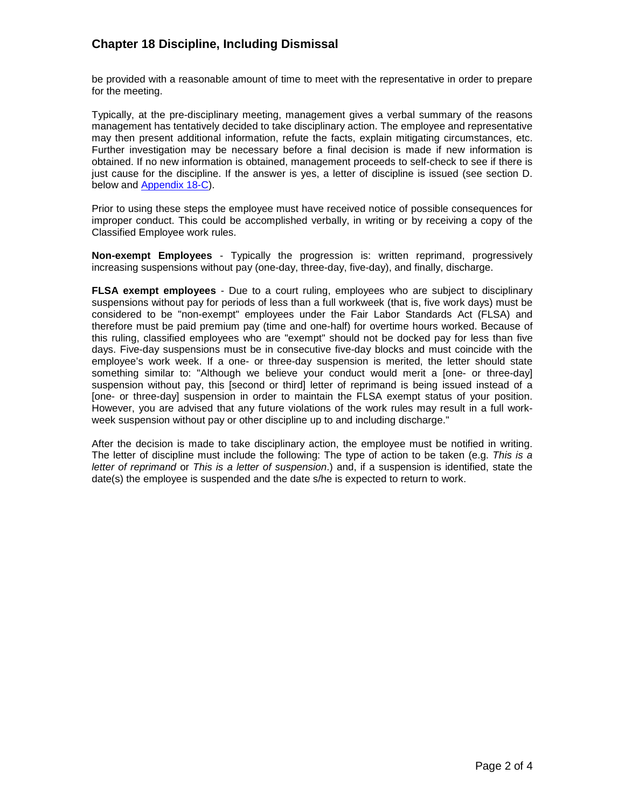be provided with a reasonable amount of time to meet with the representative in order to prepare for the meeting.

Typically, at the pre-disciplinary meeting, management gives a verbal summary of the reasons management has tentatively decided to take disciplinary action. The employee and representative may then present additional information, refute the facts, explain mitigating circumstances, etc. Further investigation may be necessary before a final decision is made if new information is obtained. If no new information is obtained, management proceeds to self-check to see if there is just cause for the discipline. If the answer is yes, a letter of discipline is issued (see section D. below and **Appendix 18-C**).

Prior to using these steps the employee must have received notice of possible consequences for improper conduct. This could be accomplished verbally, in writing or by receiving a copy of the Classified Employee work rules.

**Non-exempt Employees** - Typically the progression is: written reprimand, progressively increasing suspensions without pay (one-day, three-day, five-day), and finally, discharge.

**FLSA exempt employees** - Due to a court ruling, employees who are subject to disciplinary suspensions without pay for periods of less than a full workweek (that is, five work days) must be considered to be "non-exempt" employees under the Fair Labor Standards Act (FLSA) and therefore must be paid premium pay (time and one-half) for overtime hours worked. Because of this ruling, classified employees who are "exempt" should not be docked pay for less than five days. Five-day suspensions must be in consecutive five-day blocks and must coincide with the employee's work week. If a one- or three-day suspension is merited, the letter should state something similar to: "Although we believe your conduct would merit a [one- or three-day] suspension without pay, this [second or third] letter of reprimand is being issued instead of a [one- or three-day] suspension in order to maintain the FLSA exempt status of your position. However, you are advised that any future violations of the work rules may result in a full workweek suspension without pay or other discipline up to and including discharge."

After the decision is made to take disciplinary action, the employee must be notified in writing. The letter of discipline must include the following: The type of action to be taken (e.g. *This is a letter of reprimand* or *This is a letter of suspension*.) and, if a suspension is identified, state the date(s) the employee is suspended and the date s/he is expected to return to work.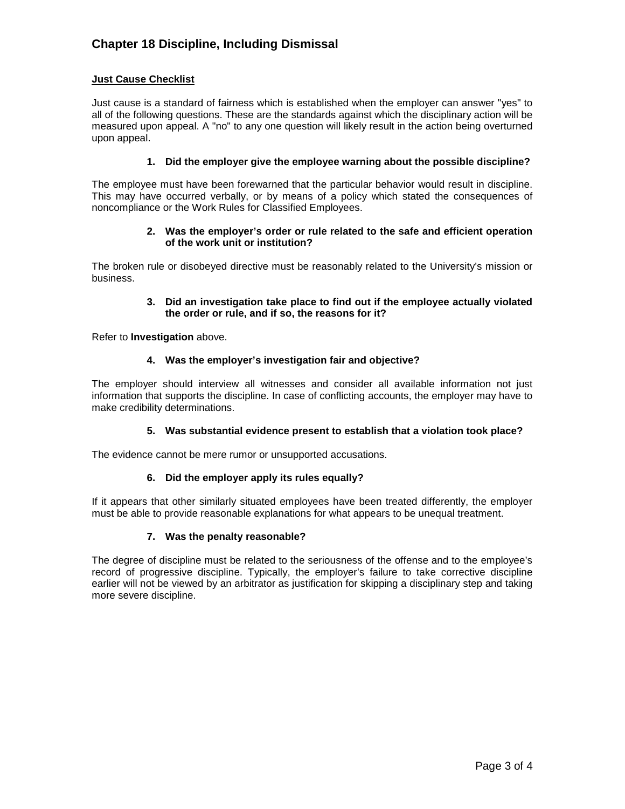# **Just Cause Checklist**

Just cause is a standard of fairness which is established when the employer can answer "yes" to all of the following questions. These are the standards against which the disciplinary action will be measured upon appeal. A "no" to any one question will likely result in the action being overturned upon appeal.

# **1. Did the employer give the employee warning about the possible discipline?**

The employee must have been forewarned that the particular behavior would result in discipline. This may have occurred verbally, or by means of a policy which stated the consequences of noncompliance or the Work Rules for Classified Employees.

## **2. Was the employer's order or rule related to the safe and efficient operation of the work unit or institution?**

The broken rule or disobeyed directive must be reasonably related to the University's mission or business.

## **3. Did an investigation take place to find out if the employee actually violated the order or rule, and if so, the reasons for it?**

Refer to **Investigation** above.

# **4. Was the employer's investigation fair and objective?**

The employer should interview all witnesses and consider all available information not just information that supports the discipline. In case of conflicting accounts, the employer may have to make credibility determinations.

### **5. Was substantial evidence present to establish that a violation took place?**

The evidence cannot be mere rumor or unsupported accusations.

### **6. Did the employer apply its rules equally?**

If it appears that other similarly situated employees have been treated differently, the employer must be able to provide reasonable explanations for what appears to be unequal treatment.

# **7. Was the penalty reasonable?**

The degree of discipline must be related to the seriousness of the offense and to the employee's record of progressive discipline. Typically, the employer's failure to take corrective discipline earlier will not be viewed by an arbitrator as justification for skipping a disciplinary step and taking more severe discipline.